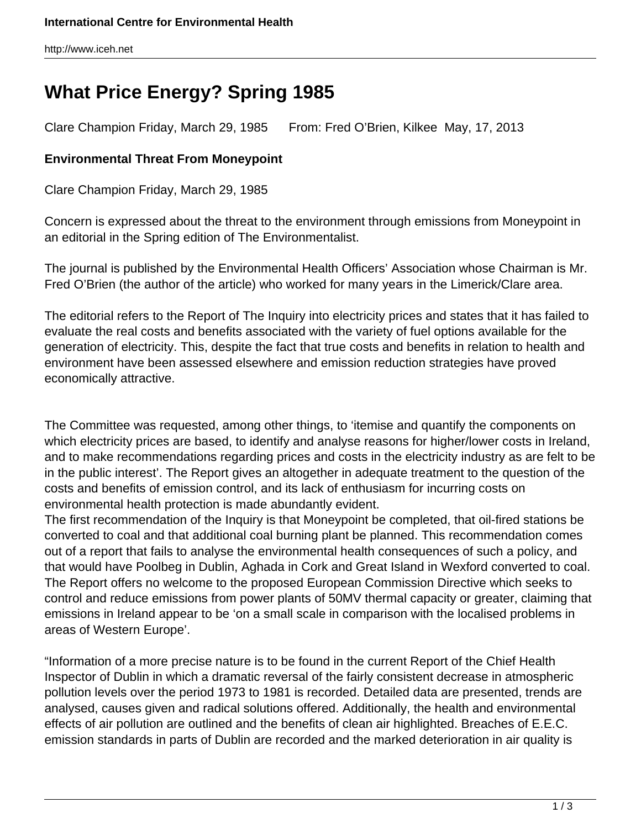http://www.iceh.net

## **What Price Energy? Spring 1985**

Clare Champion Friday, March 29, 1985 From: Fred O'Brien, Kilkee May, 17, 2013

## **Environmental Threat From Moneypoint**

Clare Champion Friday, March 29, 1985

Concern is expressed about the threat to the environment through emissions from Moneypoint in an editorial in the Spring edition of The Environmentalist.

The journal is published by the Environmental Health Officers' Association whose Chairman is Mr. Fred O'Brien (the author of the article) who worked for many years in the Limerick/Clare area.

The editorial refers to the Report of The Inquiry into electricity prices and states that it has failed to evaluate the real costs and benefits associated with the variety of fuel options available for the generation of electricity. This, despite the fact that true costs and benefits in relation to health and environment have been assessed elsewhere and emission reduction strategies have proved economically attractive.

The Committee was requested, among other things, to 'itemise and quantify the components on which electricity prices are based, to identify and analyse reasons for higher/lower costs in Ireland, and to make recommendations regarding prices and costs in the electricity industry as are felt to be in the public interest'. The Report gives an altogether in adequate treatment to the question of the costs and benefits of emission control, and its lack of enthusiasm for incurring costs on environmental health protection is made abundantly evident.

The first recommendation of the Inquiry is that Moneypoint be completed, that oil-fired stations be converted to coal and that additional coal burning plant be planned. This recommendation comes out of a report that fails to analyse the environmental health consequences of such a policy, and that would have Poolbeg in Dublin, Aghada in Cork and Great Island in Wexford converted to coal. The Report offers no welcome to the proposed European Commission Directive which seeks to control and reduce emissions from power plants of 50MV thermal capacity or greater, claiming that emissions in Ireland appear to be 'on a small scale in comparison with the localised problems in areas of Western Europe'.

"Information of a more precise nature is to be found in the current Report of the Chief Health Inspector of Dublin in which a dramatic reversal of the fairly consistent decrease in atmospheric pollution levels over the period 1973 to 1981 is recorded. Detailed data are presented, trends are analysed, causes given and radical solutions offered. Additionally, the health and environmental effects of air pollution are outlined and the benefits of clean air highlighted. Breaches of E.E.C. emission standards in parts of Dublin are recorded and the marked deterioration in air quality is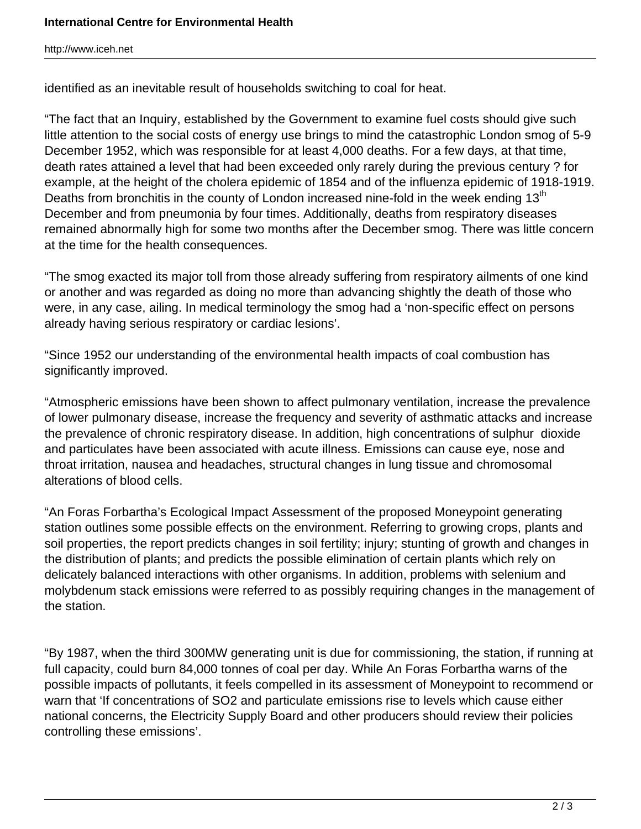http://www.iceh.net

identified as an inevitable result of households switching to coal for heat.

"The fact that an Inquiry, established by the Government to examine fuel costs should give such little attention to the social costs of energy use brings to mind the catastrophic London smog of 5-9 December 1952, which was responsible for at least 4,000 deaths. For a few days, at that time, death rates attained a level that had been exceeded only rarely during the previous century ? for example, at the height of the cholera epidemic of 1854 and of the influenza epidemic of 1918-1919. Deaths from bronchitis in the county of London increased nine-fold in the week ending  $13<sup>th</sup>$ December and from pneumonia by four times. Additionally, deaths from respiratory diseases remained abnormally high for some two months after the December smog. There was little concern at the time for the health consequences.

"The smog exacted its major toll from those already suffering from respiratory ailments of one kind or another and was regarded as doing no more than advancing shightly the death of those who were, in any case, ailing. In medical terminology the smog had a 'non-specific effect on persons already having serious respiratory or cardiac lesions'.

"Since 1952 our understanding of the environmental health impacts of coal combustion has significantly improved.

"Atmospheric emissions have been shown to affect pulmonary ventilation, increase the prevalence of lower pulmonary disease, increase the frequency and severity of asthmatic attacks and increase the prevalence of chronic respiratory disease. In addition, high concentrations of sulphur dioxide and particulates have been associated with acute illness. Emissions can cause eye, nose and throat irritation, nausea and headaches, structural changes in lung tissue and chromosomal alterations of blood cells.

"An Foras Forbartha's Ecological Impact Assessment of the proposed Moneypoint generating station outlines some possible effects on the environment. Referring to growing crops, plants and soil properties, the report predicts changes in soil fertility; injury; stunting of growth and changes in the distribution of plants; and predicts the possible elimination of certain plants which rely on delicately balanced interactions with other organisms. In addition, problems with selenium and molybdenum stack emissions were referred to as possibly requiring changes in the management of the station.

"By 1987, when the third 300MW generating unit is due for commissioning, the station, if running at full capacity, could burn 84,000 tonnes of coal per day. While An Foras Forbartha warns of the possible impacts of pollutants, it feels compelled in its assessment of Moneypoint to recommend or warn that 'If concentrations of SO2 and particulate emissions rise to levels which cause either national concerns, the Electricity Supply Board and other producers should review their policies controlling these emissions'.